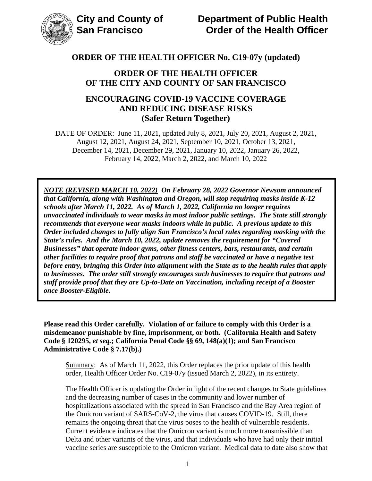

### **ORDER OF THE HEALTH OFFICER OF THE CITY AND COUNTY OF SAN FRANCISCO**

## **ENCOURAGING COVID-19 VACCINE COVERAGE AND REDUCING DISEASE RISKS (Safer Return Together)**

DATE OF ORDER: June 11, 2021, updated July 8, 2021, July 20, 2021, August 2, 2021, August 12, 2021, August 24, 2021, September 10, 2021, October 13, 2021, December 14, 2021, December 29, 2021, January 10, 2022, January 26, 2022, February 14, 2022, March 2, 2022, and March 10, 2022

*NOTE (REVISED MARCH 10, 2022) On February 28, 2022 Governor Newsom announced that California, along with Washington and Oregon, will stop requiring masks inside K-12 schools after March 11, 2022. As of March 1, 2022, California no longer requires unvaccinated individuals to wear masks in most indoor public settings. The State still strongly recommends that everyone wear masks indoors while in public. A previous update to this Order included changes to fully align San Francisco's local rules regarding masking with the State's rules. And the March 10, 2022, update removes the requirement for "Covered Businesses" that operate indoor gyms, other fitness centers, bars, restaurants, and certain other facilities to require proof that patrons and staff be vaccinated or have a negative test before entry, bringing this Order into alignment with the State as to the health rules that apply to businesses. The order still strongly encourages such businesses to require that patrons and staff provide proof that they are Up-to-Date on Vaccination, including receipt of a Booster once Booster-Eligible.* 

**Please read this Order carefully. Violation of or failure to comply with this Order is a misdemeanor punishable by fine, imprisonment, or both. (California Health and Safety Code § 120295,** *et seq.***; California Penal Code §§ 69, 148(a)(1); and San Francisco Administrative Code § 7.17(b).)**

Summary: As of March 11, 2022, this Order replaces the prior update of this health order, Health Officer Order No. C19-07y (issued March 2, 2022), in its entirety.

The Health Officer is updating the Order in light of the recent changes to State guidelines and the decreasing number of cases in the community and lower number of hospitalizations associated with the spread in San Francisco and the Bay Area region of the Omicron variant of SARS-CoV-2, the virus that causes COVID-19. Still, there remains the ongoing threat that the virus poses to the health of vulnerable residents. Current evidence indicates that the Omicron variant is much more transmissible than Delta and other variants of the virus, and that individuals who have had only their initial vaccine series are susceptible to the Omicron variant. Medical data to date also show that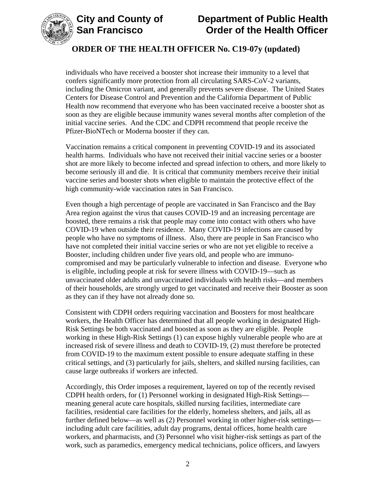



individuals who have received a booster shot increase their immunity to a level that confers significantly more protection from all circulating SARS-CoV-2 variants, including the Omicron variant, and generally prevents severe disease. The United States Centers for Disease Control and Prevention and the California Department of Public Health now recommend that everyone who has been vaccinated receive a booster shot as soon as they are eligible because immunity wanes several months after completion of the initial vaccine series. And the CDC and CDPH recommend that people receive the Pfizer-BioNTech or Moderna booster if they can.

Vaccination remains a critical component in preventing COVID-19 and its associated health harms. Individuals who have not received their initial vaccine series or a booster shot are more likely to become infected and spread infection to others, and more likely to become seriously ill and die. It is critical that community members receive their initial vaccine series and booster shots when eligible to maintain the protective effect of the high community-wide vaccination rates in San Francisco.

Even though a high percentage of people are vaccinated in San Francisco and the Bay Area region against the virus that causes COVID-19 and an increasing percentage are boosted, there remains a risk that people may come into contact with others who have COVID-19 when outside their residence. Many COVID-19 infections are caused by people who have no symptoms of illness. Also, there are people in San Francisco who have not completed their initial vaccine series or who are not yet eligible to receive a Booster, including children under five years old, and people who are immunocompromised and may be particularly vulnerable to infection and disease. Everyone who is eligible, including people at risk for severe illness with COVID-19—such as unvaccinated older adults and unvaccinated individuals with health risks—and members of their households, are strongly urged to get vaccinated and receive their Booster as soon as they can if they have not already done so.

Consistent with CDPH orders requiring vaccination and Boosters for most healthcare workers, the Health Officer has determined that all people working in designated High-Risk Settings be both vaccinated and boosted as soon as they are eligible. People working in these High-Risk Settings (1) can expose highly vulnerable people who are at increased risk of severe illness and death to COVID-19, (2) must therefore be protected from COVID-19 to the maximum extent possible to ensure adequate staffing in these critical settings, and (3) particularly for jails, shelters, and skilled nursing facilities, can cause large outbreaks if workers are infected.

Accordingly, this Order imposes a requirement, layered on top of the recently revised CDPH health orders, for (1) Personnel working in designated High-Risk Settings meaning general acute care hospitals, skilled nursing facilities, intermediate care facilities, residential care facilities for the elderly, homeless shelters, and jails, all as further defined below—as well as (2) Personnel working in other higher-risk settings including adult care facilities, adult day programs, dental offices, home health care workers, and pharmacists, and (3) Personnel who visit higher-risk settings as part of the work, such as paramedics, emergency medical technicians, police officers, and lawyers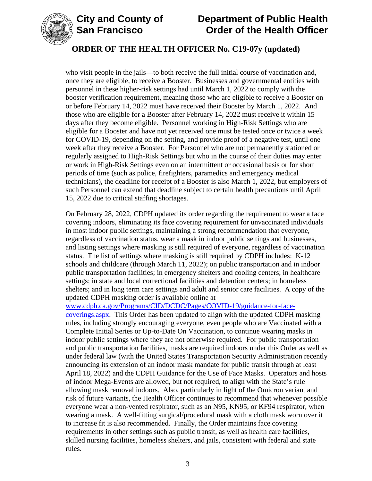



who visit people in the jails—to both receive the full initial course of vaccination and, once they are eligible, to receive a Booster. Businesses and governmental entities with personnel in these higher-risk settings had until March 1, 2022 to comply with the booster verification requirement, meaning those who are eligible to receive a Booster on or before February 14, 2022 must have received their Booster by March 1, 2022. And those who are eligible for a Booster after February 14, 2022 must receive it within 15 days after they become eligible. Personnel working in High-Risk Settings who are eligible for a Booster and have not yet received one must be tested once or twice a week for COVID-19, depending on the setting, and provide proof of a negative test, until one week after they receive a Booster. For Personnel who are not permanently stationed or regularly assigned to High-Risk Settings but who in the course of their duties may enter or work in High-Risk Settings even on an intermittent or occasional basis or for short periods of time (such as police, firefighters, paramedics and emergency medical technicians), the deadline for receipt of a Booster is also March 1, 2022, but employers of such Personnel can extend that deadline subject to certain health precautions until April 15, 2022 due to critical staffing shortages.

On February 28, 2022, CDPH updated its order regarding the requirement to wear a face covering indoors, eliminating its face covering requirement for unvaccinated individuals in most indoor public settings, maintaining a strong recommendation that everyone, regardless of vaccination status, wear a mask in indoor public settings and businesses, and listing settings where masking is still required of everyone, regardless of vaccination status. The list of settings where masking is still required by CDPH includes: K-12 schools and childcare (through March 11, 2022); on public transportation and in indoor public transportation facilities; in emergency shelters and cooling centers; in healthcare settings; in state and local correctional facilities and detention centers; in homeless shelters; and in long term care settings and adult and senior care facilities. A copy of the updated CDPH masking order is available online at

[www.cdph.ca.gov/Programs/CID/DCDC/Pages/COVID-19/guidance-for-face](https://www.cdph.ca.gov/Programs/CID/DCDC/Pages/COVID-19/guidance-for-face-coverings.aspx)[coverings.aspx.](https://www.cdph.ca.gov/Programs/CID/DCDC/Pages/COVID-19/guidance-for-face-coverings.aspx) This Order has been updated to align with the updated CDPH masking rules, including strongly encouraging everyone, even people who are Vaccinated with a Complete Initial Series or Up-to-Date On Vaccination, to continue wearing masks in indoor public settings where they are not otherwise required. For public transportation and public transportation facilities, masks are required indoors under this Order as well as under federal law (with the United States Transportation Security Administration recently announcing its extension of an indoor mask mandate for public transit through at least April 18, 2022) and the CDPH Guidance for the Use of Face Masks. Operators and hosts of indoor Mega-Events are allowed, but not required, to align with the State's rule allowing mask removal indoors. Also, particularly in light of the Omicron variant and risk of future variants, the Health Officer continues to recommend that whenever possible everyone wear a non-vented respirator, such as an N95, KN95, or KF94 respirator, when wearing a mask. A well-fitting surgical/procedural mask with a cloth mask worn over it to increase fit is also recommended. Finally, the Order maintains face covering requirements in other settings such as public transit, as well as health care facilities, skilled nursing facilities, homeless shelters, and jails, consistent with federal and state rules.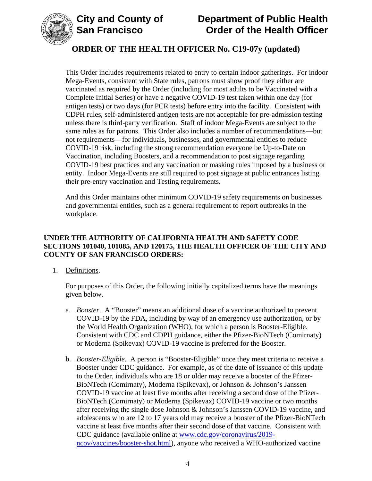

This Order includes requirements related to entry to certain indoor gatherings. For indoor Mega-Events, consistent with State rules, patrons must show proof they either are vaccinated as required by the Order (including for most adults to be Vaccinated with a Complete Initial Series) or have a negative COVID-19 test taken within one day (for antigen tests) or two days (for PCR tests) before entry into the facility. Consistent with CDPH rules, self-administered antigen tests are not acceptable for pre-admission testing unless there is third-party verification. Staff of indoor Mega-Events are subject to the same rules as for patrons. This Order also includes a number of recommendations—but not requirements—for individuals, businesses, and governmental entities to reduce COVID-19 risk, including the strong recommendation everyone be Up-to-Date on Vaccination, including Boosters, and a recommendation to post signage regarding COVID-19 best practices and any vaccination or masking rules imposed by a business or entity. Indoor Mega-Events are still required to post signage at public entrances listing their pre-entry vaccination and Testing requirements.

And this Order maintains other minimum COVID-19 safety requirements on businesses and governmental entities, such as a general requirement to report outbreaks in the workplace.

#### **UNDER THE AUTHORITY OF CALIFORNIA HEALTH AND SAFETY CODE SECTIONS 101040, 101085, AND 120175, THE HEALTH OFFICER OF THE CITY AND COUNTY OF SAN FRANCISCO ORDERS:**

1. Definitions.

For purposes of this Order, the following initially capitalized terms have the meanings given below.

- a. *Booster*. A "Booster" means an additional dose of a vaccine authorized to prevent COVID-19 by the FDA, including by way of an emergency use authorization, or by the World Health Organization (WHO), for which a person is Booster-Eligible. Consistent with CDC and CDPH guidance, either the Pfizer-BioNTech (Comirnaty) or Moderna (Spikevax) COVID-19 vaccine is preferred for the Booster.
- b. *Booster-Eligible*. A person is "Booster-Eligible" once they meet criteria to receive a Booster under CDC guidance. For example, as of the date of issuance of this update to the Order, individuals who are 18 or older may receive a booster of the Pfizer-BioNTech (Comirnaty), Moderna (Spikevax), or Johnson & Johnson's Janssen COVID-19 vaccine at least five months after receiving a second dose of the Pfizer-BioNTech (Comirnaty) or Moderna (Spikevax) COVID-19 vaccine or two months after receiving the single dose Johnson & Johnson's Janssen COVID-19 vaccine, and adolescents who are 12 to 17 years old may receive a booster of the Pfizer-BioNTech vaccine at least five months after their second dose of that vaccine. Consistent with CDC guidance (available online at [www.cdc.gov/coronavirus/2019](https://www.cdc.gov/coronavirus/2019-ncov/vaccines/booster-shot.html) [ncov/vaccines/booster-shot.html\)](https://www.cdc.gov/coronavirus/2019-ncov/vaccines/booster-shot.html), anyone who received a WHO-authorized vaccine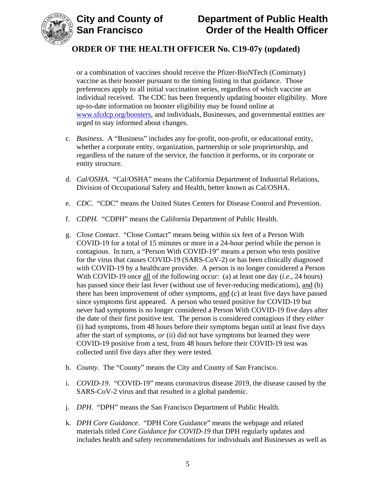



or a combination of vaccines should receive the Pfizer-BioNTech (Comirnaty) vaccine as their booster pursuant to the timing listing in that guidance. Those preferences apply to all initial vaccination series, regardless of which vaccine an individual received. The CDC has been frequently updating booster eligibility. More up-to-date information on booster eligibility may be found online at [www.sfcdcp.org/boosters,](https://www.sfcdcp.org/boosters) and individuals, Businesses, and governmental entities are urged to stay informed about changes.

- c. *Business*. A "Business" includes any for-profit, non-profit, or educational entity, whether a corporate entity, organization, partnership or sole proprietorship, and regardless of the nature of the service, the function it performs, or its corporate or entity structure.
- d. *Cal/OSHA*. "Cal/OSHA" means the California Department of Industrial Relations, Division of Occupational Safety and Health, better known as Cal/OSHA.
- e. *CDC*. "CDC" means the United States Centers for Disease Control and Prevention.
- f. *CDPH.* "CDPH" means the California Department of Public Health.
- g. *Close Contact*. "Close Contact" means being within six feet of a Person With COVID-19 for a total of 15 minutes or more in a 24-hour period while the person is contagious. In turn, a "Person With COVID-19" means a person who tests positive for the virus that causes COVID-19 (SARS-CoV-2) or has been clinically diagnosed with COVID-19 by a healthcare provider. A person is no longer considered a Person With COVID-19 once all of the following occur: (a) at least one day (*i.e.*, 24 hours) has passed since their last fever (without use of fever-reducing medications), and (b) there has been improvement of other symptoms, and (c) at least five days have passed since symptoms first appeared. A person who tested positive for COVID-19 but never had symptoms is no longer considered a Person With COVID-19 five days after the date of their first positive test. The person is considered contagious if they *either* (i) had symptoms, from 48 hours before their symptoms began until at least five days after the start of symptoms, *or* (ii) did not have symptoms but learned they were COVID-19 positive from a test, from 48 hours before their COVID-19 test was collected until five days after they were tested.
- h. *County*. The "County" means the City and County of San Francisco.
- i. *COVID-19*. "COVID-19" means coronavirus disease 2019, the disease caused by the SARS-CoV-2 virus and that resulted in a global pandemic.
- j. *DPH*. "DPH" means the San Francisco Department of Public Health.
- k. *DPH Core Guidance*. "DPH Core Guidance" means the webpage and related materials titled *Core Guidance for COVID-19* that DPH regularly updates and includes health and safety recommendations for individuals and Businesses as well as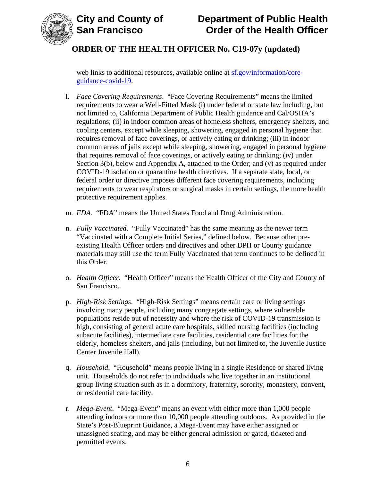

# **City and County of County of Department of Public Health<br>
San Francisco Corder of the Health Officer Order of the Health Officer**

## **ORDER OF THE HEALTH OFFICER No. C19-07y (updated)**

web links to additional resources, available online at [sf.gov/information/core](https://sf.gov/information/core-guidance-covid-19)[guidance-covid-19.](https://sf.gov/information/core-guidance-covid-19)

- l. *Face Covering Requirements*. "Face Covering Requirements" means the limited requirements to wear a Well-Fitted Mask (i) under federal or state law including, but not limited to, California Department of Public Health guidance and Cal/OSHA's regulations; (ii) in indoor common areas of homeless shelters, emergency shelters, and cooling centers, except while sleeping, showering, engaged in personal hygiene that requires removal of face coverings, or actively eating or drinking; (iii) in indoor common areas of jails except while sleeping, showering, engaged in personal hygiene that requires removal of face coverings, or actively eating or drinking; (iv) under Section 3(b), below and Appendix A, attached to the Order; and (v) as required under COVID-19 isolation or quarantine health directives. If a separate state, local, or federal order or directive imposes different face covering requirements, including requirements to wear respirators or surgical masks in certain settings, the more health protective requirement applies.
- m. *FDA*. "FDA" means the United States Food and Drug Administration.
- n. *Fully Vaccinated*. "Fully Vaccinated" has the same meaning as the newer term "Vaccinated with a Complete Initial Series," defined below. Because other preexisting Health Officer orders and directives and other DPH or County guidance materials may still use the term Fully Vaccinated that term continues to be defined in this Order.
- o. *Health Officer*. "Health Officer" means the Health Officer of the City and County of San Francisco.
- p. *High-Risk Settings*. "High-Risk Settings" means certain care or living settings involving many people, including many congregate settings, where vulnerable populations reside out of necessity and where the risk of COVID-19 transmission is high, consisting of general acute care hospitals, skilled nursing facilities (including subacute facilities), intermediate care facilities, residential care facilities for the elderly, homeless shelters, and jails (including, but not limited to, the Juvenile Justice Center Juvenile Hall).
- q. *Household*. "Household" means people living in a single Residence or shared living unit. Households do not refer to individuals who live together in an institutional group living situation such as in a dormitory, fraternity, sorority, monastery, convent, or residential care facility.
- r. *Mega-Event*. "Mega-Event" means an event with either more than 1,000 people attending indoors or more than 10,000 people attending outdoors. As provided in the State's Post-Blueprint Guidance, a Mega-Event may have either assigned or unassigned seating, and may be either general admission or gated, ticketed and permitted events.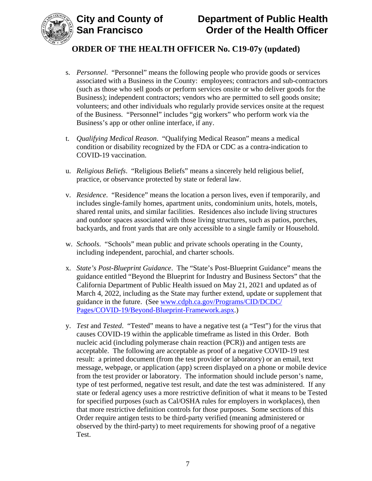

- s. *Personnel*."Personnel" means the following people who provide goods or services associated with a Business in the County: employees; contractors and sub-contractors (such as those who sell goods or perform services onsite or who deliver goods for the Business); independent contractors; vendors who are permitted to sell goods onsite; volunteers; and other individuals who regularly provide services onsite at the request of the Business. "Personnel" includes "gig workers" who perform work via the Business's app or other online interface, if any.
- t. *Qualifying Medical Reason*. "Qualifying Medical Reason" means a medical condition or disability recognized by the FDA or CDC as a contra-indication to COVID-19 vaccination.
- u. *Religious Beliefs*. "Religious Beliefs" means a sincerely held religious belief, practice, or observance protected by state or federal law.
- v. *Residence*. "Residence" means the location a person lives, even if temporarily, and includes single-family homes, apartment units, condominium units, hotels, motels, shared rental units, and similar facilities. Residences also include living structures and outdoor spaces associated with those living structures, such as patios, porches, backyards, and front yards that are only accessible to a single family or Household.
- w. *Schools*. "Schools" mean public and private schools operating in the County, including independent, parochial, and charter schools.
- x. *State's Post-Blueprint Guidance*. The "State's Post-Blueprint Guidance" means the guidance entitled "Beyond the Blueprint for Industry and Business Sectors" that the California Department of Public Health issued on May 21, 2021 and updated as of March 4, 2022, including as the State may further extend, update or supplement that guidance in the future. (See [www.cdph.ca.gov/Programs/CID/DCDC/](http://www.cdph.ca.gov/Programs/CID/DCDC/Pages/COVID-19/Beyond-Blueprint-Framework.aspx) [Pages/COVID-19/Beyond-Blueprint-Framework.aspx.](http://www.cdph.ca.gov/Programs/CID/DCDC/Pages/COVID-19/Beyond-Blueprint-Framework.aspx))
- y. *Test* and *Tested*. "Tested" means to have a negative test (a "Test") for the virus that causes COVID-19 within the applicable timeframe as listed in this Order. Both nucleic acid (including polymerase chain reaction (PCR)) and antigen tests are acceptable. The following are acceptable as proof of a negative COVID-19 test result: a printed document (from the test provider or laboratory) or an email, text message, webpage, or application (app) screen displayed on a phone or mobile device from the test provider or laboratory. The information should include person's name, type of test performed, negative test result, and date the test was administered. If any state or federal agency uses a more restrictive definition of what it means to be Tested for specified purposes (such as Cal/OSHA rules for employers in workplaces), then that more restrictive definition controls for those purposes. Some sections of this Order require antigen tests to be third-party verified (meaning administered or observed by the third-party) to meet requirements for showing proof of a negative Test.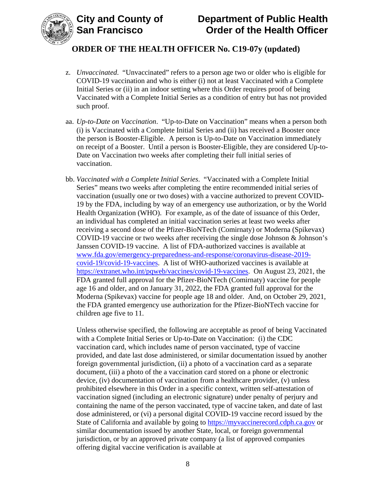

- z. *Unvaccinated*. "Unvaccinated" refers to a person age two or older who is eligible for COVID-19 vaccination and who is either (i) not at least Vaccinated with a Complete Initial Series or (ii) in an indoor setting where this Order requires proof of being Vaccinated with a Complete Initial Series as a condition of entry but has not provided such proof.
- aa. *Up-to-Date on Vaccination*. "Up-to-Date on Vaccination" means when a person both (i) is Vaccinated with a Complete Initial Series and (ii) has received a Booster once the person is Booster-Eligible. A person is Up-to-Date on Vaccination immediately on receipt of a Booster. Until a person is Booster-Eligible, they are considered Up-to-Date on Vaccination two weeks after completing their full initial series of vaccination.
- bb. *Vaccinated with a Complete Initial Series*. "Vaccinated with a Complete Initial Series" means two weeks after completing the entire recommended initial series of vaccination (usually one or two doses) with a vaccine authorized to prevent COVID-19 by the FDA, including by way of an emergency use authorization, or by the World Health Organization (WHO). For example, as of the date of issuance of this Order, an individual has completed an initial vaccination series at least two weeks after receiving a second dose of the Pfizer-BioNTech (Comirnaty) or Moderna (Spikevax) COVID-19 vaccine or two weeks after receiving the single dose Johnson & Johnson's Janssen COVID-19 vaccine. A list of FDA-authorized vaccines is available at [www.fda.gov/emergency-preparedness-and-response/coronavirus-disease-2019](https://www.fda.gov/emergency-preparedness-and-response/coronavirus-disease-2019-covid-19/covid-19-vaccines) [covid-19/covid-19-vaccines.](https://www.fda.gov/emergency-preparedness-and-response/coronavirus-disease-2019-covid-19/covid-19-vaccines) A list of WHO-authorized vaccines is available at [https://extranet.who.int/pqweb/vaccines/covid-19-vaccines.](https://extranet.who.int/pqweb/vaccines/covid-19-vaccines) On August 23, 2021, the FDA granted full approval for the Pfizer-BioNTech (Comirnaty) vaccine for people age 16 and older, and on January 31, 2022, the FDA granted full approval for the Moderna (Spikevax) vaccine for people age 18 and older. And, on October 29, 2021, the FDA granted emergency use authorization for the Pfizer-BioNTech vaccine for children age five to 11.

Unless otherwise specified, the following are acceptable as proof of being Vaccinated with a Complete Initial Series or Up-to-Date on Vaccination: (i) the CDC vaccination card, which includes name of person vaccinated, type of vaccine provided, and date last dose administered, or similar documentation issued by another foreign governmental jurisdiction, (ii) a photo of a vaccination card as a separate document, (iii) a photo of the a vaccination card stored on a phone or electronic device, (iv) documentation of vaccination from a healthcare provider, (v) unless prohibited elsewhere in this Order in a specific context, written self-attestation of vaccination signed (including an electronic signature) under penalty of perjury and containing the name of the person vaccinated, type of vaccine taken, and date of last dose administered, or (vi) a personal digital COVID-19 vaccine record issued by the State of California and available by going to [https://myvaccinerecord.cdph.ca.gov](https://myvaccinerecord.cdph.ca.gov/) or similar documentation issued by another State, local, or foreign governmental jurisdiction, or by an approved private company (a list of approved companies offering digital vaccine verification is available at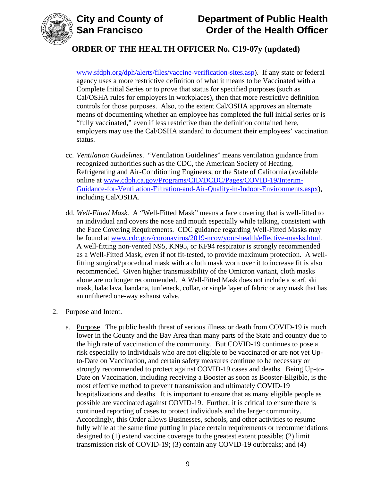

## **ORDER OF THE HEALTH OFFICER No. C19-07y (updated)**

[www.sfdph.org/dph/alerts/files/vaccine-verification-sites.asp\)](https://www.sfdph.org/dph/alerts/files/vaccine-verification-sites.asp). If any state or federal agency uses a more restrictive definition of what it means to be Vaccinated with a Complete Initial Series or to prove that status for specified purposes (such as Cal/OSHA rules for employers in workplaces), then that more restrictive definition controls for those purposes. Also, to the extent Cal/OSHA approves an alternate means of documenting whether an employee has completed the full initial series or is "fully vaccinated," even if less restrictive than the definition contained here, employers may use the Cal/OSHA standard to document their employees' vaccination status.

- cc. *Ventilation Guidelines*. "Ventilation Guidelines" means ventilation guidance from recognized authorities such as the CDC, the American Society of Heating, Refrigerating and Air-Conditioning Engineers, or the State of California (available online at [www.cdph.ca.gov/Programs/CID/DCDC/Pages/COVID-19/Interim-](https://www.cdph.ca.gov/Programs/CID/DCDC/Pages/COVID-19/Interim-Guidance-for-Ventilation-Filtration-and-Air-Quality-in-Indoor-Environments.aspx)[Guidance-for-Ventilation-Filtration-and-Air-Quality-in-Indoor-Environments.aspx\)](https://www.cdph.ca.gov/Programs/CID/DCDC/Pages/COVID-19/Interim-Guidance-for-Ventilation-Filtration-and-Air-Quality-in-Indoor-Environments.aspx), including Cal/OSHA.
- dd. *Well-Fitted Mask*. A "Well-Fitted Mask" means a face covering that is well-fitted to an individual and covers the nose and mouth especially while talking, consistent with the Face Covering Requirements. CDC guidance regarding Well-Fitted Masks may be found at [www.cdc.gov/coronavirus/2019-ncov/your-health/effective-masks.html.](https://www.cdc.gov/coronavirus/2019-ncov/your-health/effective-masks.html) A well-fitting non-vented N95, KN95, or KF94 respirator is strongly recommended as a Well-Fitted Mask, even if not fit-tested, to provide maximum protection. A wellfitting surgical/procedural mask with a cloth mask worn over it to increase fit is also recommended. Given higher transmissibility of the Omicron variant, cloth masks alone are no longer recommended. A Well-Fitted Mask does not include a scarf, ski mask, balaclava, bandana, turtleneck, collar, or single layer of fabric or any mask that has an unfiltered one-way exhaust valve.

#### 2. Purpose and Intent.

a. Purpose. The public health threat of serious illness or death from COVID-19 is much lower in the County and the Bay Area than many parts of the State and country due to the high rate of vaccination of the community. But COVID-19 continues to pose a risk especially to individuals who are not eligible to be vaccinated or are not yet Upto-Date on Vaccination, and certain safety measures continue to be necessary or strongly recommended to protect against COVID-19 cases and deaths. Being Up-to-Date on Vaccination, including receiving a Booster as soon as Booster-Eligible, is the most effective method to prevent transmission and ultimately COVID-19 hospitalizations and deaths. It is important to ensure that as many eligible people as possible are vaccinated against COVID-19. Further, it is critical to ensure there is continued reporting of cases to protect individuals and the larger community. Accordingly, this Order allows Businesses, schools, and other activities to resume fully while at the same time putting in place certain requirements or recommendations designed to (1) extend vaccine coverage to the greatest extent possible; (2) limit transmission risk of COVID-19; (3) contain any COVID-19 outbreaks; and (4)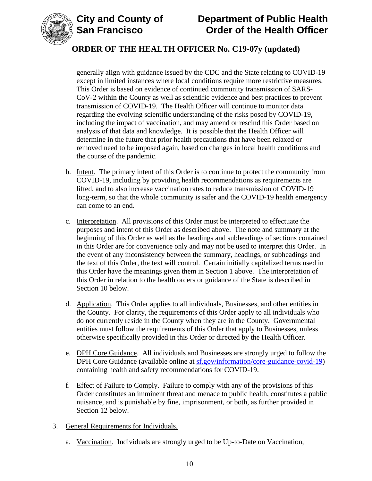



## **ORDER OF THE HEALTH OFFICER No. C19-07y (updated)**

generally align with guidance issued by the CDC and the State relating to COVID-19 except in limited instances where local conditions require more restrictive measures. This Order is based on evidence of continued community transmission of SARS-CoV-2 within the County as well as scientific evidence and best practices to prevent transmission of COVID-19. The Health Officer will continue to monitor data regarding the evolving scientific understanding of the risks posed by COVID-19, including the impact of vaccination, and may amend or rescind this Order based on analysis of that data and knowledge. It is possible that the Health Officer will determine in the future that prior health precautions that have been relaxed or removed need to be imposed again, based on changes in local health conditions and the course of the pandemic.

- b. Intent. The primary intent of this Order is to continue to protect the community from COVID-19, including by providing health recommendations as requirements are lifted, and to also increase vaccination rates to reduce transmission of COVID-19 long-term, so that the whole community is safer and the COVID-19 health emergency can come to an end.
- c. Interpretation. All provisions of this Order must be interpreted to effectuate the purposes and intent of this Order as described above. The note and summary at the beginning of this Order as well as the headings and subheadings of sections contained in this Order are for convenience only and may not be used to interpret this Order. In the event of any inconsistency between the summary, headings, or subheadings and the text of this Order, the text will control. Certain initially capitalized terms used in this Order have the meanings given them in Section 1 above. The interpretation of this Order in relation to the health orders or guidance of the State is described in Section 10 below.
- d. Application. This Order applies to all individuals, Businesses, and other entities in the County. For clarity, the requirements of this Order apply to all individuals who do not currently reside in the County when they are in the County. Governmental entities must follow the requirements of this Order that apply to Businesses, unless otherwise specifically provided in this Order or directed by the Health Officer.
- e. DPH Core Guidance. All individuals and Businesses are strongly urged to follow the DPH Core Guidance (available online at [sf.gov/information/core-guidance-covid-19\)](https://sf.gov/information/core-guidance-covid-19) containing health and safety recommendations for COVID-19.
- f. Effect of Failure to Comply. Failure to comply with any of the provisions of this Order constitutes an imminent threat and menace to public health, constitutes a public nuisance, and is punishable by fine, imprisonment, or both, as further provided in Section 12 below.
- 3. General Requirements for Individuals.
	- a. Vaccination. Individuals are strongly urged to be Up-to-Date on Vaccination,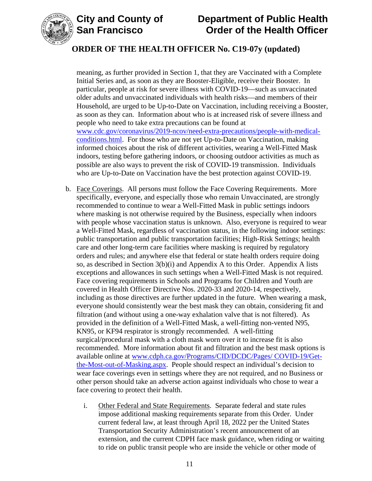

## **ORDER OF THE HEALTH OFFICER No. C19-07y (updated)**

meaning, as further provided in Section 1, that they are Vaccinated with a Complete Initial Series and, as soon as they are Booster-Eligible, receive their Booster. In particular, people at risk for severe illness with COVID-19—such as unvaccinated older adults and unvaccinated individuals with health risks—and members of their Household, are urged to be Up-to-Date on Vaccination, including receiving a Booster, as soon as they can. Information about who is at increased risk of severe illness and people who need to take extra precautions can be found at [www.cdc.gov/coronavirus/2019-ncov/need-extra-precautions/people-with-medical](https://www.cdc.gov/coronavirus/2019-ncov/need-extra-precautions/people-with-medical-conditions.html)[conditions.html.](https://www.cdc.gov/coronavirus/2019-ncov/need-extra-precautions/people-with-medical-conditions.html) For those who are not yet Up-to-Date on Vaccination, making informed choices about the risk of different activities, wearing a Well-Fitted Mask indoors, testing before gathering indoors, or choosing outdoor activities as much as possible are also ways to prevent the risk of COVID-19 transmission. Individuals who are Up-to-Date on Vaccination have the best protection against COVID-19.

- b. Face Coverings. All persons must follow the Face Covering Requirements. More specifically, everyone, and especially those who remain Unvaccinated, are strongly recommended to continue to wear a Well-Fitted Mask in public settings indoors where masking is not otherwise required by the Business, especially when indoors with people whose vaccination status is unknown. Also, everyone is required to wear a Well-Fitted Mask, regardless of vaccination status, in the following indoor settings: public transportation and public transportation facilities; High-Risk Settings; health care and other long-term care facilities where masking is required by regulatory orders and rules; and anywhere else that federal or state health orders require doing so, as described in Section 3(b)(i) and Appendix A to this Order. Appendix A lists exceptions and allowances in such settings when a Well-Fitted Mask is not required. Face covering requirements in Schools and Programs for Children and Youth are covered in Health Officer Directive Nos. 2020-33 and 2020-14, respectively, including as those directives are further updated in the future. When wearing a mask, everyone should consistently wear the best mask they can obtain, considering fit and filtration (and without using a one-way exhalation valve that is not filtered). As provided in the definition of a Well-Fitted Mask, a well-fitting non-vented N95, KN95, or KF94 respirator is strongly recommended. A well-fitting surgical/procedural mask with a cloth mask worn over it to increase fit is also recommended. More information about fit and filtration and the best mask options is available online at [www.cdph.ca.gov/Programs/CID/DCDC/Pages/](https://www.cdph.ca.gov/Programs/CID/DCDC/Pages/COVID-19/Get-the-Most-out-of-Masking.aspx) COVID-19/Get[the-Most-out-of-Masking.aspx.](https://www.cdph.ca.gov/Programs/CID/DCDC/Pages/COVID-19/Get-the-Most-out-of-Masking.aspx) People should respect an individual's decision to wear face coverings even in settings where they are not required, and no Business or other person should take an adverse action against individuals who chose to wear a face covering to protect their health.
	- i. Other Federal and State Requirements. Separate federal and state rules impose additional masking requirements separate from this Order. Under current federal law, at least through April 18, 2022 per the United States Transportation Security Administration's recent announcement of an extension, and the current CDPH face mask guidance, when riding or waiting to ride on public transit people who are inside the vehicle or other mode of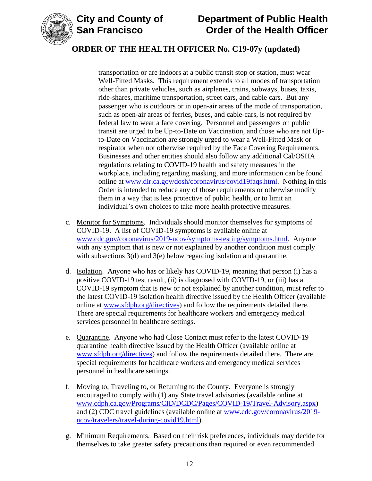

## **ORDER OF THE HEALTH OFFICER No. C19-07y (updated)**

transportation or are indoors at a public transit stop or station, must wear Well-Fitted Masks. This requirement extends to all modes of transportation other than private vehicles, such as airplanes, trains, subways, buses, taxis, ride-shares, maritime transportation, street cars, and cable cars. But any passenger who is outdoors or in open-air areas of the mode of transportation, such as open-air areas of ferries, buses, and cable-cars, is not required by federal law to wear a face covering. Personnel and passengers on public transit are urged to be Up-to-Date on Vaccination, and those who are not Upto-Date on Vaccination are strongly urged to wear a Well-Fitted Mask or respirator when not otherwise required by the Face Covering Requirements. Businesses and other entities should also follow any additional Cal/OSHA regulations relating to COVID-19 health and safety measures in the workplace, including regarding masking, and more information can be found online at [www.dir.ca.gov/dosh/coronavirus/covid19faqs.html.](https://www.dir.ca.gov/dosh/coronavirus/covid19faqs.html) Nothing in this Order is intended to reduce any of those requirements or otherwise modify them in a way that is less protective of public health, or to limit an individual's own choices to take more health protective measures.

- c. Monitor for Symptoms. Individuals should monitor themselves for symptoms of COVID-19. A list of COVID-19 symptoms is available online at [www.cdc.gov/coronavirus/2019-ncov/symptoms-testing/symptoms.html.](https://www.cdc.gov/coronavirus/2019-ncov/symptoms-testing/symptoms.html) Anyone with any symptom that is new or not explained by another condition must comply with subsections 3(d) and 3(e) below regarding isolation and quarantine.
- d. Isolation. Anyone who has or likely has COVID-19, meaning that person (i) has a positive COVID-19 test result, (ii) is diagnosed with COVID-19, or (iii) has a COVID-19 symptom that is new or not explained by another condition, must refer to the latest COVID-19 isolation health directive issued by the Health Officer (available online at [www.sfdph.org/directives\)](https://www.sfdph.org/directives) and follow the requirements detailed there. There are special requirements for healthcare workers and emergency medical services personnel in healthcare settings.
- e. Quarantine. Anyone who had Close Contact must refer to the latest COVID-19 quarantine health directive issued by the Health Officer (available online at [www.sfdph.org/directives\)](https://www.sfdph.org/directives) and follow the requirements detailed there. There are special requirements for healthcare workers and emergency medical services personnel in healthcare settings.
- f. Moving to, Traveling to, or Returning to the County. Everyone is strongly encouraged to comply with (1) any State travel advisories (available online at [www.cdph.ca.gov/Programs/CID/DCDC/Pages/COVID-19/Travel-Advisory.aspx\)](https://www.cdph.ca.gov/Programs/CID/DCDC/Pages/COVID-19/Travel-Advisory.aspx) and (2) CDC travel guidelines (available online at [www.cdc.gov/coronavirus/2019](https://www.cdc.gov/coronavirus/2019-ncov/travelers/travel-during-covid19.html) [ncov/travelers/travel-during-covid19.html\)](https://www.cdc.gov/coronavirus/2019-ncov/travelers/travel-during-covid19.html).
- g. Minimum Requirements. Based on their risk preferences, individuals may decide for themselves to take greater safety precautions than required or even recommended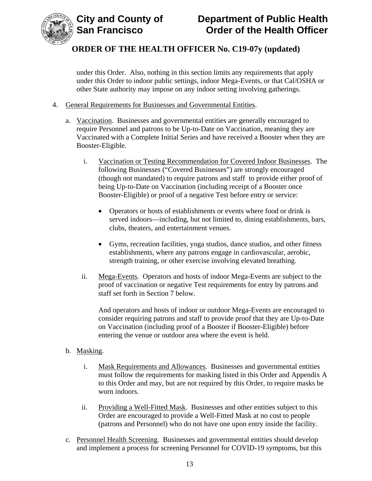

under this Order. Also, nothing in this section limits any requirements that apply under this Order to indoor public settings, indoor Mega-Events, or that Cal/OSHA or other State authority may impose on any indoor setting involving gatherings.

- 4. General Requirements for Businesses and Governmental Entities.
	- a. Vaccination. Businesses and governmental entities are generally encouraged to require Personnel and patrons to be Up-to-Date on Vaccination, meaning they are Vaccinated with a Complete Initial Series and have received a Booster when they are Booster-Eligible.
		- i. Vaccination or Testing Recommendation for Covered Indoor Businesses. The following Businesses ("Covered Businesses") are strongly encouraged (though not mandated) to require patrons and staff to provide either proof of being Up-to-Date on Vaccination (including receipt of a Booster once Booster-Eligible) or proof of a negative Test before entry or service:
			- Operators or hosts of establishments or events where food or drink is served indoors—including, but not limited to, dining establishments, bars, clubs, theaters, and entertainment venues.
			- Gyms, recreation facilities, yoga studios, dance studios, and other fitness establishments, where any patrons engage in cardiovascular, aerobic, strength training, or other exercise involving elevated breathing.
		- ii. Mega-Events. Operators and hosts of indoor Mega-Events are subject to the proof of vaccination or negative Test requirements for entry by patrons and staff set forth in Section 7 below.

And operators and hosts of indoor or outdoor Mega-Events are encouraged to consider requiring patrons and staff to provide proof that they are Up-to-Date on Vaccination (including proof of a Booster if Booster-Eligible) before entering the venue or outdoor area where the event is held.

#### b. Masking.

- i. Mask Requirements and Allowances. Businesses and governmental entities must follow the requirements for masking listed in this Order and Appendix A to this Order and may, but are not required by this Order, to require masks be worn indoors.
- ii. Providing a Well-Fitted Mask. Businesses and other entities subject to this Order are encouraged to provide a Well-Fitted Mask at no cost to people (patrons and Personnel) who do not have one upon entry inside the facility.
- c. Personnel Health Screening. Businesses and governmental entities should develop and implement a process for screening Personnel for COVID-19 symptoms, but this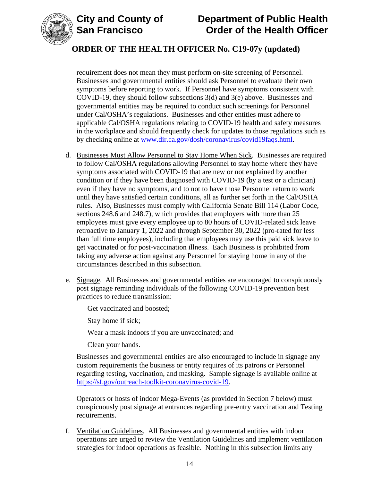



## **ORDER OF THE HEALTH OFFICER No. C19-07y (updated)**

requirement does not mean they must perform on-site screening of Personnel. Businesses and governmental entities should ask Personnel to evaluate their own symptoms before reporting to work. If Personnel have symptoms consistent with COVID-19, they should follow subsections 3(d) and 3(e) above. Businesses and governmental entities may be required to conduct such screenings for Personnel under Cal/OSHA's regulations. Businesses and other entities must adhere to applicable Cal/OSHA regulations relating to COVID-19 health and safety measures in the workplace and should frequently check for updates to those regulations such as by checking online at [www.dir.ca.gov/dosh/coronavirus/covid19faqs.html.](https://www.dir.ca.gov/dosh/coronavirus/covid19faqs.html)

- d. Businesses Must Allow Personnel to Stay Home When Sick. Businesses are required to follow Cal/OSHA regulations allowing Personnel to stay home where they have symptoms associated with COVID-19 that are new or not explained by another condition or if they have been diagnosed with COVID-19 (by a test or a clinician) even if they have no symptoms, and to not to have those Personnel return to work until they have satisfied certain conditions, all as further set forth in the Cal/OSHA rules. Also, Businesses must comply with California Senate Bill 114 (Labor Code, sections 248.6 and 248.7), which provides that employers with more than 25 employees must give every employee up to 80 hours of COVID-related sick leave retroactive to January 1, 2022 and through September 30, 2022 (pro-rated for less than full time employees), including that employees may use this paid sick leave to get vaccinated or for post-vaccination illness. Each Business is prohibited from taking any adverse action against any Personnel for staying home in any of the circumstances described in this subsection.
- e. Signage. All Businesses and governmental entities are encouraged to conspicuously post signage reminding individuals of the following COVID-19 prevention best practices to reduce transmission:

Get vaccinated and boosted;

Stay home if sick;

Wear a mask indoors if you are unvaccinated; and

Clean your hands.

Businesses and governmental entities are also encouraged to include in signage any custom requirements the business or entity requires of its patrons or Personnel regarding testing, vaccination, and masking. Sample signage is available online at [https://sf.gov/outreach-toolkit-coronavirus-covid-19.](https://sf.gov/outreach-toolkit-coronavirus-covid-19)

Operators or hosts of indoor Mega-Events (as provided in Section 7 below) must conspicuously post signage at entrances regarding pre-entry vaccination and Testing requirements.

f. Ventilation Guidelines. All Businesses and governmental entities with indoor operations are urged to review the Ventilation Guidelines and implement ventilation strategies for indoor operations as feasible. Nothing in this subsection limits any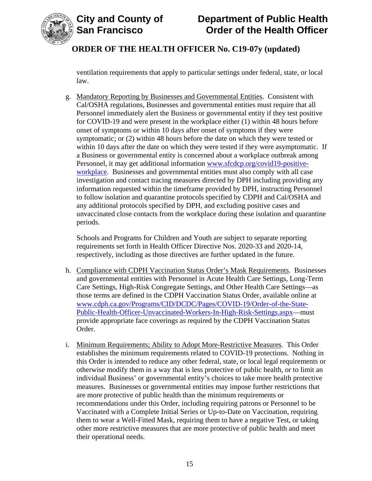

## **ORDER OF THE HEALTH OFFICER No. C19-07y (updated)**

ventilation requirements that apply to particular settings under federal, state, or local law.

g. Mandatory Reporting by Businesses and Governmental Entities. Consistent with Cal/OSHA regulations, Businesses and governmental entities must require that all Personnel immediately alert the Business or governmental entity if they test positive for COVID-19 and were present in the workplace either (1) within 48 hours before onset of symptoms or within 10 days after onset of symptoms if they were symptomatic; or (2) within 48 hours before the date on which they were tested or within 10 days after the date on which they were tested if they were asymptomatic. If a Business or governmental entity is concerned about a workplace outbreak among Personnel, it may get additional information [www.sfcdcp.org/covid19-positive](http://www.sfcdcp.org/covid19-positive-workplace)[workplace.](http://www.sfcdcp.org/covid19-positive-workplace) Businesses and governmental entities must also comply with all case investigation and contact tracing measures directed by DPH including providing any information requested within the timeframe provided by DPH, instructing Personnel to follow isolation and quarantine protocols specified by CDPH and Cal/OSHA and any additional protocols specified by DPH, and excluding positive cases and unvaccinated close contacts from the workplace during these isolation and quarantine periods.

Schools and Programs for Children and Youth are subject to separate reporting requirements set forth in Health Officer Directive Nos. 2020-33 and 2020-14, respectively, including as those directives are further updated in the future.

- h. Compliance with CDPH Vaccination Status Order's Mask Requirements. Businesses and governmental entities with Personnel in Acute Health Care Settings, Long-Term Care Settings, High-Risk Congregate Settings, and Other Health Care Settings—as those terms are defined in the CDPH Vaccination Status Order, available online at [www.cdph.ca.gov/Programs/CID/DCDC/Pages/COVID-19/Order-of-the-State-](https://www.cdph.ca.gov/Programs/CID/DCDC/Pages/COVID-19/Order-of-the-State-Public-Health-Officer-Unvaccinated-Workers-In-High-Risk-Settings.aspx)[Public-Health-Officer-Unvaccinated-Workers-In-High-Risk-Settings.aspx—](https://www.cdph.ca.gov/Programs/CID/DCDC/Pages/COVID-19/Order-of-the-State-Public-Health-Officer-Unvaccinated-Workers-In-High-Risk-Settings.aspx)must provide appropriate face coverings as required by the CDPH Vaccination Status Order.
- i. Minimum Requirements; Ability to Adopt More-Restrictive Measures. This Order establishes the minimum requirements related to COVID-19 protections. Nothing in this Order is intended to reduce any other federal, state, or local legal requirements or otherwise modify them in a way that is less protective of public health, or to limit an individual Business' or governmental entity's choices to take more health protective measures. Businesses or governmental entities may impose further restrictions that are more protective of public health than the minimum requirements or recommendations under this Order, including requiring patrons or Personnel to be Vaccinated with a Complete Initial Series or Up-to-Date on Vaccination, requiring them to wear a Well-Fitted Mask, requiring them to have a negative Test, or taking other more restrictive measures that are more protective of public health and meet their operational needs.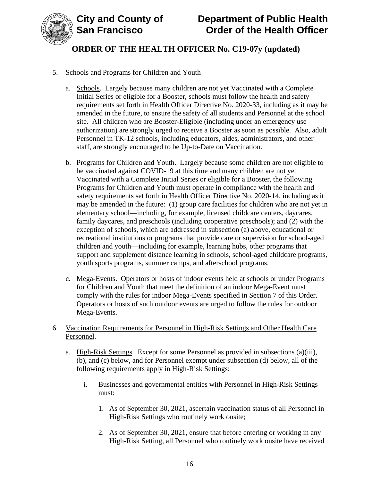



#### 5. Schools and Programs for Children and Youth

- a. Schools. Largely because many children are not yet Vaccinated with a Complete Initial Series or eligible for a Booster, schools must follow the health and safety requirements set forth in Health Officer Directive No. 2020-33, including as it may be amended in the future, to ensure the safety of all students and Personnel at the school site. All children who are Booster-Eligible (including under an emergency use authorization) are strongly urged to receive a Booster as soon as possible. Also, adult Personnel in TK-12 schools, including educators, aides, administrators, and other staff, are strongly encouraged to be Up-to-Date on Vaccination.
- b. Programs for Children and Youth. Largely because some children are not eligible to be vaccinated against COVID-19 at this time and many children are not yet Vaccinated with a Complete Initial Series or eligible for a Booster, the following Programs for Children and Youth must operate in compliance with the health and safety requirements set forth in Health Officer Directive No. 2020-14, including as it may be amended in the future: (1) group care facilities for children who are not yet in elementary school—including, for example, licensed childcare centers, daycares, family daycares, and preschools (including cooperative preschools); and (2) with the exception of schools, which are addressed in subsection (a) above, educational or recreational institutions or programs that provide care or supervision for school-aged children and youth—including for example, learning hubs, other programs that support and supplement distance learning in schools, school-aged childcare programs, youth sports programs, summer camps, and afterschool programs.
- c. Mega-Events. Operators or hosts of indoor events held at schools or under Programs for Children and Youth that meet the definition of an indoor Mega-Event must comply with the rules for indoor Mega-Events specified in Section 7 of this Order. Operators or hosts of such outdoor events are urged to follow the rules for outdoor Mega-Events.
- 6. Vaccination Requirements for Personnel in High-Risk Settings and Other Health Care Personnel.
	- a. High-Risk Settings. Except for some Personnel as provided in subsections (a)(iii), (b), and (c) below, and for Personnel exempt under subsection (d) below, all of the following requirements apply in High-Risk Settings:
		- i. Businesses and governmental entities with Personnel in High-Risk Settings must:
			- 1. As of September 30, 2021, ascertain vaccination status of all Personnel in High-Risk Settings who routinely work onsite;
			- 2. As of September 30, 2021, ensure that before entering or working in any High-Risk Setting, all Personnel who routinely work onsite have received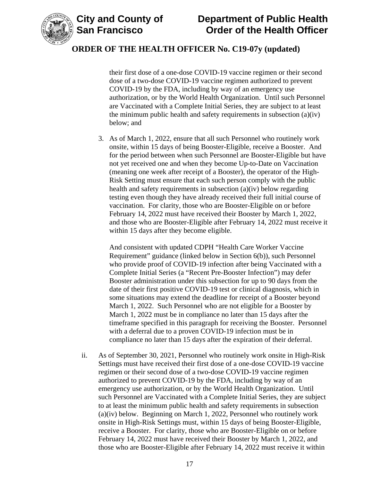

## **ORDER OF THE HEALTH OFFICER No. C19-07y (updated)**

their first dose of a one-dose COVID-19 vaccine regimen or their second dose of a two-dose COVID-19 vaccine regimen authorized to prevent COVID-19 by the FDA, including by way of an emergency use authorization, or by the World Health Organization. Until such Personnel are Vaccinated with a Complete Initial Series, they are subject to at least the minimum public health and safety requirements in subsection (a)(iv) below; and

3. As of March 1, 2022, ensure that all such Personnel who routinely work onsite, within 15 days of being Booster-Eligible, receive a Booster. And for the period between when such Personnel are Booster-Eligible but have not yet received one and when they become Up-to-Date on Vaccination (meaning one week after receipt of a Booster), the operator of the High-Risk Setting must ensure that each such person comply with the public health and safety requirements in subsection (a)(iv) below regarding testing even though they have already received their full initial course of vaccination. For clarity, those who are Booster-Eligible on or before February 14, 2022 must have received their Booster by March 1, 2022, and those who are Booster-Eligible after February 14, 2022 must receive it within 15 days after they become eligible.

And consistent with updated CDPH "Health Care Worker Vaccine Requirement" guidance (linked below in Section 6(b)), such Personnel who provide proof of COVID-19 infection after being Vaccinated with a Complete Initial Series (a "Recent Pre-Booster Infection") may defer Booster administration under this subsection for up to 90 days from the date of their first positive COVID-19 test or clinical diagnosis, which in some situations may extend the deadline for receipt of a Booster beyond March 1, 2022. Such Personnel who are not eligible for a Booster by March 1, 2022 must be in compliance no later than 15 days after the timeframe specified in this paragraph for receiving the Booster. Personnel with a deferral due to a proven COVID-19 infection must be in compliance no later than 15 days after the expiration of their deferral.

ii. As of September 30, 2021, Personnel who routinely work onsite in High-Risk Settings must have received their first dose of a one-dose COVID-19 vaccine regimen or their second dose of a two-dose COVID-19 vaccine regimen authorized to prevent COVID-19 by the FDA, including by way of an emergency use authorization, or by the World Health Organization. Until such Personnel are Vaccinated with a Complete Initial Series, they are subject to at least the minimum public health and safety requirements in subsection (a)(iv) below. Beginning on March 1, 2022, Personnel who routinely work onsite in High-Risk Settings must, within 15 days of being Booster-Eligible, receive a Booster. For clarity, those who are Booster-Eligible on or before February 14, 2022 must have received their Booster by March 1, 2022, and those who are Booster-Eligible after February 14, 2022 must receive it within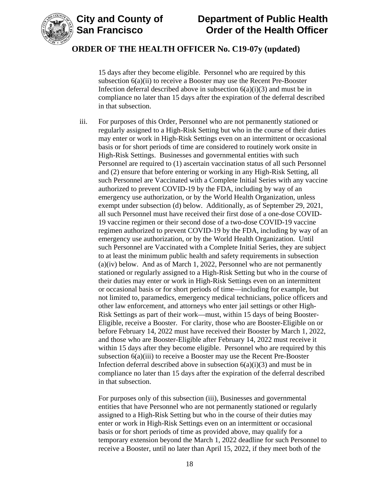



15 days after they become eligible. Personnel who are required by this subsection 6(a)(ii) to receive a Booster may use the Recent Pre-Booster Infection deferral described above in subsection  $6(a)(i)(3)$  and must be in compliance no later than 15 days after the expiration of the deferral described in that subsection.

iii. For purposes of this Order, Personnel who are not permanently stationed or regularly assigned to a High-Risk Setting but who in the course of their duties may enter or work in High-Risk Settings even on an intermittent or occasional basis or for short periods of time are considered to routinely work onsite in High-Risk Settings. Businesses and governmental entities with such Personnel are required to (1) ascertain vaccination status of all such Personnel and (2) ensure that before entering or working in any High-Risk Setting, all such Personnel are Vaccinated with a Complete Initial Series with any vaccine authorized to prevent COVID-19 by the FDA, including by way of an emergency use authorization, or by the World Health Organization, unless exempt under subsection (d) below. Additionally, as of September 29, 2021, all such Personnel must have received their first dose of a one-dose COVID-19 vaccine regimen or their second dose of a two-dose COVID-19 vaccine regimen authorized to prevent COVID-19 by the FDA, including by way of an emergency use authorization, or by the World Health Organization. Until such Personnel are Vaccinated with a Complete Initial Series, they are subject to at least the minimum public health and safety requirements in subsection (a)(iv) below. And as of March 1, 2022, Personnel who are not permanently stationed or regularly assigned to a High-Risk Setting but who in the course of their duties may enter or work in High-Risk Settings even on an intermittent or occasional basis or for short periods of time—including for example, but not limited to, paramedics, emergency medical technicians, police officers and other law enforcement, and attorneys who enter jail settings or other High-Risk Settings as part of their work—must, within 15 days of being Booster-Eligible, receive a Booster. For clarity, those who are Booster-Eligible on or before February 14, 2022 must have received their Booster by March 1, 2022, and those who are Booster-Eligible after February 14, 2022 must receive it within 15 days after they become eligible. Personnel who are required by this subsection 6(a)(iii) to receive a Booster may use the Recent Pre-Booster Infection deferral described above in subsection  $6(a)(i)(3)$  and must be in compliance no later than 15 days after the expiration of the deferral described in that subsection.

For purposes only of this subsection (iii), Businesses and governmental entities that have Personnel who are not permanently stationed or regularly assigned to a High-Risk Setting but who in the course of their duties may enter or work in High-Risk Settings even on an intermittent or occasional basis or for short periods of time as provided above, may qualify for a temporary extension beyond the March 1, 2022 deadline for such Personnel to receive a Booster, until no later than April 15, 2022, if they meet both of the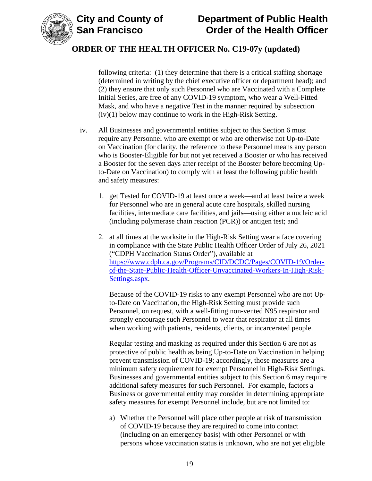



following criteria: (1) they determine that there is a critical staffing shortage (determined in writing by the chief executive officer or department head); and (2) they ensure that only such Personnel who are Vaccinated with a Complete Initial Series, are free of any COVID-19 symptom, who wear a Well-Fitted Mask, and who have a negative Test in the manner required by subsection (iv)(1) below may continue to work in the High-Risk Setting.

- iv. All Businesses and governmental entities subject to this Section 6 must require any Personnel who are exempt or who are otherwise not Up-to-Date on Vaccination (for clarity, the reference to these Personnel means any person who is Booster-Eligible for but not yet received a Booster or who has received a Booster for the seven days after receipt of the Booster before becoming Upto-Date on Vaccination) to comply with at least the following public health and safety measures:
	- 1. get Tested for COVID-19 at least once a week—and at least twice a week for Personnel who are in general acute care hospitals, skilled nursing facilities, intermediate care facilities, and jails—using either a nucleic acid (including polymerase chain reaction (PCR)) or antigen test; and
	- 2. at all times at the worksite in the High-Risk Setting wear a face covering in compliance with the State Public Health Officer Order of July 26, 2021 ("CDPH Vaccination Status Order"), available at [https://www.cdph.ca.gov/Programs/CID/DCDC/Pages/COVID-19/Order](https://www.cdph.ca.gov/Programs/CID/DCDC/Pages/COVID-19/Order-of-the-State-Public-Health-Officer-Unvaccinated-Workers-In-High-Risk-Settings.aspx)[of-the-State-Public-Health-Officer-Unvaccinated-Workers-In-High-Risk-](https://www.cdph.ca.gov/Programs/CID/DCDC/Pages/COVID-19/Order-of-the-State-Public-Health-Officer-Unvaccinated-Workers-In-High-Risk-Settings.aspx)[Settings.aspx.](https://www.cdph.ca.gov/Programs/CID/DCDC/Pages/COVID-19/Order-of-the-State-Public-Health-Officer-Unvaccinated-Workers-In-High-Risk-Settings.aspx)

Because of the COVID-19 risks to any exempt Personnel who are not Upto-Date on Vaccination, the High-Risk Setting must provide such Personnel, on request, with a well-fitting non-vented N95 respirator and strongly encourage such Personnel to wear that respirator at all times when working with patients, residents, clients, or incarcerated people.

Regular testing and masking as required under this Section 6 are not as protective of public health as being Up-to-Date on Vaccination in helping prevent transmission of COVID-19; accordingly, those measures are a minimum safety requirement for exempt Personnel in High-Risk Settings. Businesses and governmental entities subject to this Section 6 may require additional safety measures for such Personnel. For example, factors a Business or governmental entity may consider in determining appropriate safety measures for exempt Personnel include, but are not limited to:

a) Whether the Personnel will place other people at risk of transmission of COVID-19 because they are required to come into contact (including on an emergency basis) with other Personnel or with persons whose vaccination status is unknown, who are not yet eligible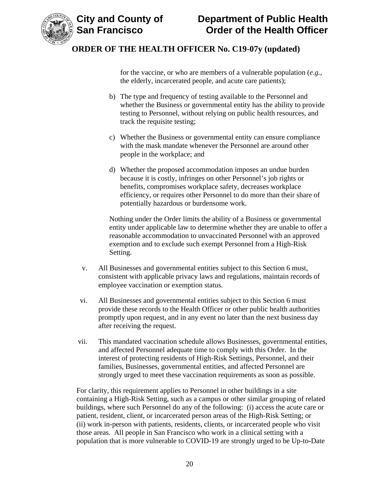

for the vaccine, or who are members of a vulnerable population (*e.g.*, the elderly, incarcerated people, and acute care patients);

- b) The type and frequency of testing available to the Personnel and whether the Business or governmental entity has the ability to provide testing to Personnel, without relying on public health resources, and track the requisite testing;
- c) Whether the Business or governmental entity can ensure compliance with the mask mandate whenever the Personnel are around other people in the workplace; and
- d) Whether the proposed accommodation imposes an undue burden because it is costly, infringes on other Personnel's job rights or benefits, compromises workplace safety, decreases workplace efficiency, or requires other Personnel to do more than their share of potentially hazardous or burdensome work.

Nothing under the Order limits the ability of a Business or governmental entity under applicable law to determine whether they are unable to offer a reasonable accommodation to unvaccinated Personnel with an approved exemption and to exclude such exempt Personnel from a High-Risk Setting.

- v. All Businesses and governmental entities subject to this Section 6 must, consistent with applicable privacy laws and regulations, maintain records of employee vaccination or exemption status.
- vi. All Businesses and governmental entities subject to this Section 6 must provide these records to the Health Officer or other public health authorities promptly upon request, and in any event no later than the next business day after receiving the request.
- vii. This mandated vaccination schedule allows Businesses, governmental entities, and affected Personnel adequate time to comply with this Order. In the interest of protecting residents of High-Risk Settings, Personnel, and their families, Businesses, governmental entities, and affected Personnel are strongly urged to meet these vaccination requirements as soon as possible.

For clarity, this requirement applies to Personnel in other buildings in a site containing a High-Risk Setting, such as a campus or other similar grouping of related buildings, where such Personnel do any of the following: (i) access the acute care or patient, resident, client, or incarcerated person areas of the High-Risk Setting; or (ii) work in-person with patients, residents, clients, or incarcerated people who visit those areas. All people in San Francisco who work in a clinical setting with a population that is more vulnerable to COVID-19 are strongly urged to be Up-to-Date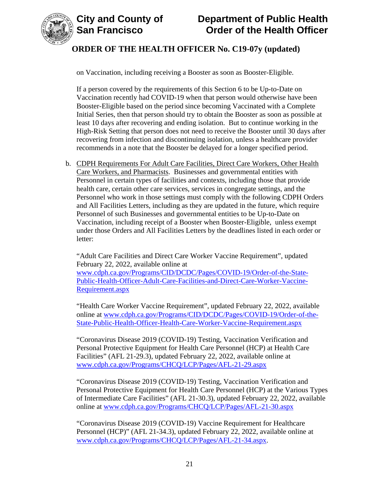



on Vaccination, including receiving a Booster as soon as Booster-Eligible.

If a person covered by the requirements of this Section 6 to be Up-to-Date on Vaccination recently had COVID-19 when that person would otherwise have been Booster-Eligible based on the period since becoming Vaccinated with a Complete Initial Series, then that person should try to obtain the Booster as soon as possible at least 10 days after recovering and ending isolation. But to continue working in the High-Risk Setting that person does not need to receive the Booster until 30 days after recovering from infection and discontinuing isolation, unless a healthcare provider recommends in a note that the Booster be delayed for a longer specified period.

b. CDPH Requirements For Adult Care Facilities, Direct Care Workers, Other Health Care Workers, and Pharmacists. Businesses and governmental entities with Personnel in certain types of facilities and contexts, including those that provide health care, certain other care services, services in congregate settings, and the Personnel who work in those settings must comply with the following CDPH Orders and All Facilities Letters, including as they are updated in the future, which require Personnel of such Businesses and governmental entities to be Up-to-Date on Vaccination, including receipt of a Booster when Booster-Eligible, unless exempt under those Orders and All Facilities Letters by the deadlines listed in each order or letter:

"Adult Care Facilities and Direct Care Worker Vaccine Requirement", updated February 22, 2022, available online at

[www.cdph.ca.gov/Programs/CID/DCDC/Pages/COVID-19/Order-of-the-State-](https://www.cdph.ca.gov/Programs/CID/DCDC/Pages/COVID-19/Order-of-the-State-Public-Health-Officer-Adult-Care-Facilities-and-Direct-Care-Worker-Vaccine-Requirement.aspx)[Public-Health-Officer-Adult-Care-Facilities-and-Direct-Care-Worker-Vaccine-](https://www.cdph.ca.gov/Programs/CID/DCDC/Pages/COVID-19/Order-of-the-State-Public-Health-Officer-Adult-Care-Facilities-and-Direct-Care-Worker-Vaccine-Requirement.aspx)[Requirement.aspx](https://www.cdph.ca.gov/Programs/CID/DCDC/Pages/COVID-19/Order-of-the-State-Public-Health-Officer-Adult-Care-Facilities-and-Direct-Care-Worker-Vaccine-Requirement.aspx)

"Health Care Worker Vaccine Requirement", updated February 22, 2022, available online at [www.cdph.ca.gov/Programs/CID/DCDC/Pages/COVID-19/Order-of-the-](https://www.cdph.ca.gov/Programs/CID/DCDC/Pages/COVID-19/Order-of-the-State-Public-Health-Officer-Health-Care-Worker-Vaccine-Requirement.aspx)[State-Public-Health-Officer-Health-Care-Worker-Vaccine-Requirement.aspx](https://www.cdph.ca.gov/Programs/CID/DCDC/Pages/COVID-19/Order-of-the-State-Public-Health-Officer-Health-Care-Worker-Vaccine-Requirement.aspx)

"Coronavirus Disease 2019 (COVID-19) Testing, Vaccination Verification and Personal Protective Equipment for Health Care Personnel (HCP) at Health Care Facilities" (AFL 21-29.3), updated February 22, 2022, available online at [www.cdph.ca.gov/Programs/CHCQ/LCP/Pages/AFL-21-29.aspx](https://www.cdph.ca.gov/Programs/CHCQ/LCP/Pages/AFL-21-29.aspx)

"Coronavirus Disease 2019 (COVID-19) Testing, Vaccination Verification and Personal Protective Equipment for Health Care Personnel (HCP) at the Various Types of Intermediate Care Facilities" (AFL 21-30.3), updated February 22, 2022, available online at [www.cdph.ca.gov/Programs/CHCQ/LCP/Pages/AFL-21-30.aspx](https://www.cdph.ca.gov/Programs/CHCQ/LCP/Pages/AFL-21-30.aspx)

"Coronavirus Disease 2019 (COVID-19) Vaccine Requirement for Healthcare Personnel (HCP)" (AFL 21-34.3), updated February 22, 2022, available online at [www.cdph.ca.gov/Programs/CHCQ/LCP/Pages/AFL-21-34.aspx.](https://www.cdph.ca.gov/Programs/CHCQ/LCP/Pages/AFL-21-34.aspx)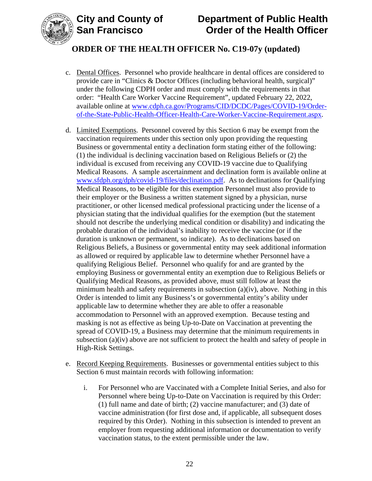



## **ORDER OF THE HEALTH OFFICER No. C19-07y (updated)**

- c. Dental Offices. Personnel who provide healthcare in dental offices are considered to provide care in "Clinics & Doctor Offices (including behavioral health, surgical)" under the following CDPH order and must comply with the requirements in that order: "Health Care Worker Vaccine Requirement", updated February 22, 2022, available online at [www.cdph.ca.gov/Programs/CID/DCDC/Pages/COVID-19/Order](https://www.cdph.ca.gov/Programs/CID/DCDC/Pages/COVID-19/Order-of-the-State-Public-Health-Officer-Health-Care-Worker-Vaccine-Requirement.aspx)[of-the-State-Public-Health-Officer-Health-Care-Worker-Vaccine-Requirement.aspx.](https://www.cdph.ca.gov/Programs/CID/DCDC/Pages/COVID-19/Order-of-the-State-Public-Health-Officer-Health-Care-Worker-Vaccine-Requirement.aspx)
- d. Limited Exemptions. Personnel covered by this Section 6 may be exempt from the vaccination requirements under this section only upon providing the requesting Business or governmental entity a declination form stating either of the following: (1) the individual is declining vaccination based on Religious Beliefs or (2) the individual is excused from receiving any COVID-19 vaccine due to Qualifying Medical Reasons. A sample ascertainment and declination form is available online at [www.sfdph.org/dph/covid-19/files/declination.pdf.](https://www.sfdph.org/dph/covid-19/files/declination.pdf) As to declinations for Qualifying Medical Reasons, to be eligible for this exemption Personnel must also provide to their employer or the Business a written statement signed by a physician, nurse practitioner, or other licensed medical professional practicing under the license of a physician stating that the individual qualifies for the exemption (but the statement should not describe the underlying medical condition or disability) and indicating the probable duration of the individual's inability to receive the vaccine (or if the duration is unknown or permanent, so indicate). As to declinations based on Religious Beliefs, a Business or governmental entity may seek additional information as allowed or required by applicable law to determine whether Personnel have a qualifying Religious Belief. Personnel who qualify for and are granted by the employing Business or governmental entity an exemption due to Religious Beliefs or Qualifying Medical Reasons, as provided above, must still follow at least the minimum health and safety requirements in subsection (a)(iv), above. Nothing in this Order is intended to limit any Business's or governmental entity's ability under applicable law to determine whether they are able to offer a reasonable accommodation to Personnel with an approved exemption. Because testing and masking is not as effective as being Up-to-Date on Vaccination at preventing the spread of COVID-19, a Business may determine that the minimum requirements in subsection (a)(iv) above are not sufficient to protect the health and safety of people in High-Risk Settings.
- e. Record Keeping Requirements. Businesses or governmental entities subject to this Section 6 must maintain records with following information:
	- i. For Personnel who are Vaccinated with a Complete Initial Series, and also for Personnel where being Up-to-Date on Vaccination is required by this Order: (1) full name and date of birth; (2) vaccine manufacturer; and (3) date of vaccine administration (for first dose and, if applicable, all subsequent doses required by this Order). Nothing in this subsection is intended to prevent an employer from requesting additional information or documentation to verify vaccination status, to the extent permissible under the law.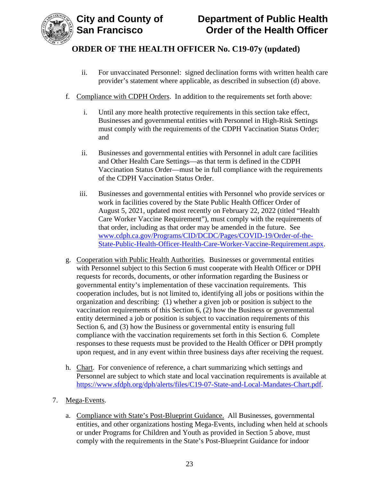

- ii. For unvaccinated Personnel: signed declination forms with written health care provider's statement where applicable, as described in subsection (d) above.
- f. Compliance with CDPH Orders. In addition to the requirements set forth above:
	- i. Until any more health protective requirements in this section take effect, Businesses and governmental entities with Personnel in High-Risk Settings must comply with the requirements of the CDPH Vaccination Status Order; and
	- ii. Businesses and governmental entities with Personnel in adult care facilities and Other Health Care Settings—as that term is defined in the CDPH Vaccination Status Order—must be in full compliance with the requirements of the CDPH Vaccination Status Order.
	- iii. Businesses and governmental entities with Personnel who provide services or work in facilities covered by the State Public Health Officer Order of August 5, 2021, updated most recently on February 22, 2022 (titled "Health Care Worker Vaccine Requirement"), must comply with the requirements of that order, including as that order may be amended in the future. See [www.cdph.ca.gov/Programs/CID/DCDC/Pages/COVID-19/Order-of-the-](https://www.cdph.ca.gov/Programs/CID/DCDC/Pages/COVID-19/Order-of-the-State-Public-Health-Officer-Health-Care-Worker-Vaccine-Requirement.aspx)[State-Public-Health-Officer-Health-Care-Worker-Vaccine-Requirement.aspx.](https://www.cdph.ca.gov/Programs/CID/DCDC/Pages/COVID-19/Order-of-the-State-Public-Health-Officer-Health-Care-Worker-Vaccine-Requirement.aspx)
- g. Cooperation with Public Health Authorities. Businesses or governmental entities with Personnel subject to this Section 6 must cooperate with Health Officer or DPH requests for records, documents, or other information regarding the Business or governmental entity's implementation of these vaccination requirements. This cooperation includes, but is not limited to, identifying all jobs or positions within the organization and describing: (1) whether a given job or position is subject to the vaccination requirements of this Section 6, (2) how the Business or governmental entity determined a job or position is subject to vaccination requirements of this Section 6, and (3) how the Business or governmental entity is ensuring full compliance with the vaccination requirements set forth in this Section 6. Complete responses to these requests must be provided to the Health Officer or DPH promptly upon request, and in any event within three business days after receiving the request.
- h. Chart. For convenience of reference, a chart summarizing which settings and Personnel are subject to which state and local vaccination requirements is available at [https://www.sfdph.org/dph/alerts/files/C19-07-State-and-Local-Mandates-Chart.pdf.](https://www.sfdph.org/dph/alerts/files/C19-07-State-and-Local-Mandates-Chart.pdf)
- 7. Mega-Events.
	- a. Compliance with State's Post-Blueprint Guidance. All Businesses, governmental entities, and other organizations hosting Mega-Events, including when held at schools or under Programs for Children and Youth as provided in Section 5 above, must comply with the requirements in the State's Post-Blueprint Guidance for indoor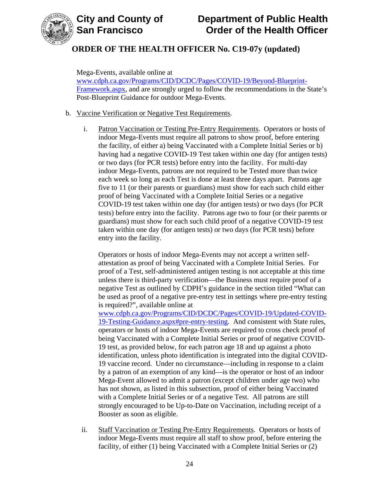



Mega-Events, available online at [www.cdph.ca.gov/Programs/CID/DCDC/Pages/COVID-19/Beyond-Blueprint-](https://www.cdph.ca.gov/Programs/CID/DCDC/Pages/COVID-19/Beyond-Blueprint-Framework.aspx)[Framework.aspx,](https://www.cdph.ca.gov/Programs/CID/DCDC/Pages/COVID-19/Beyond-Blueprint-Framework.aspx) and are strongly urged to follow the recommendations in the State's Post-Blueprint Guidance for outdoor Mega-Events.

#### b. Vaccine Verification or Negative Test Requirements.

i. Patron Vaccination or Testing Pre-Entry Requirements. Operators or hosts of indoor Mega-Events must require all patrons to show proof, before entering the facility, of either a) being Vaccinated with a Complete Initial Series or b) having had a negative COVID-19 Test taken within one day (for antigen tests) or two days (for PCR tests) before entry into the facility. For multi-day indoor Mega-Events, patrons are not required to be Tested more than twice each week so long as each Test is done at least three days apart. Patrons age five to 11 (or their parents or guardians) must show for each such child either proof of being Vaccinated with a Complete Initial Series or a negative COVID-19 test taken within one day (for antigen tests) or two days (for PCR tests) before entry into the facility. Patrons age two to four (or their parents or guardians) must show for each such child proof of a negative COVID-19 test taken within one day (for antigen tests) or two days (for PCR tests) before entry into the facility.

Operators or hosts of indoor Mega-Events may not accept a written selfattestation as proof of being Vaccinated with a Complete Initial Series. For proof of a Test, self-administered antigen testing is not acceptable at this time unless there is third-party verification—the Business must require proof of a negative Test as outlined by CDPH's guidance in the section titled "What can be used as proof of a negative pre-entry test in settings where pre-entry testing is required?", available online at

[www.cdph.ca.gov/Programs/CID/DCDC/Pages/COVID-19/Updated-COVID-](https://www.cdph.ca.gov/Programs/CID/DCDC/Pages/COVID-19/Updated-COVID-19-Testing-Guidance.aspx#pre-entry-testing)[19-Testing-Guidance.aspx#pre-entry-testing.](https://www.cdph.ca.gov/Programs/CID/DCDC/Pages/COVID-19/Updated-COVID-19-Testing-Guidance.aspx#pre-entry-testing) And consistent with State rules, operators or hosts of indoor Mega-Events are required to cross check proof of being Vaccinated with a Complete Initial Series or proof of negative COVID-19 test, as provided below, for each patron age 18 and up against a photo identification, unless photo identification is integrated into the digital COVID-19 vaccine record. Under no circumstance—including in response to a claim by a patron of an exemption of any kind—is the operator or host of an indoor Mega-Event allowed to admit a patron (except children under age two) who has not shown, as listed in this subsection, proof of either being Vaccinated with a Complete Initial Series or of a negative Test. All patrons are still strongly encouraged to be Up-to-Date on Vaccination, including receipt of a Booster as soon as eligible.

ii. Staff Vaccination or Testing Pre-Entry Requirements. Operators or hosts of indoor Mega-Events must require all staff to show proof, before entering the facility, of either (1) being Vaccinated with a Complete Initial Series or (2)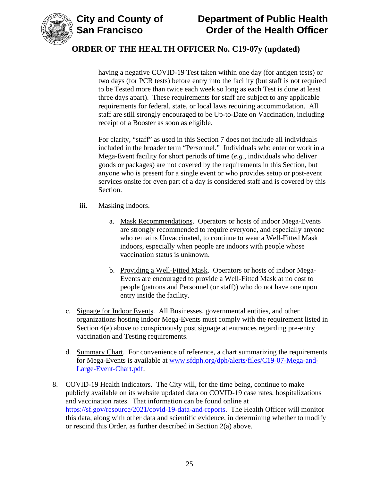



having a negative COVID-19 Test taken within one day (for antigen tests) or two days (for PCR tests) before entry into the facility (but staff is not required to be Tested more than twice each week so long as each Test is done at least three days apart). These requirements for staff are subject to any applicable requirements for federal, state, or local laws requiring accommodation. All staff are still strongly encouraged to be Up-to-Date on Vaccination, including receipt of a Booster as soon as eligible.

For clarity, "staff" as used in this Section 7 does not include all individuals included in the broader term "Personnel." Individuals who enter or work in a Mega-Event facility for short periods of time (*e.g.*, individuals who deliver goods or packages) are not covered by the requirements in this Section, but anyone who is present for a single event or who provides setup or post-event services onsite for even part of a day is considered staff and is covered by this Section.

- iii. Masking Indoors.
	- a. Mask Recommendations. Operators or hosts of indoor Mega-Events are strongly recommended to require everyone, and especially anyone who remains Unvaccinated, to continue to wear a Well-Fitted Mask indoors, especially when people are indoors with people whose vaccination status is unknown.
	- b. Providing a Well-Fitted Mask. Operators or hosts of indoor Mega-Events are encouraged to provide a Well-Fitted Mask at no cost to people (patrons and Personnel (or staff)) who do not have one upon entry inside the facility.
- c. Signage for Indoor Events. All Businesses, governmental entities, and other organizations hosting indoor Mega-Events must comply with the requirement listed in Section 4(e) above to conspicuously post signage at entrances regarding pre-entry vaccination and Testing requirements.
- d. Summary Chart. For convenience of reference, a chart summarizing the requirements for Mega-Events is available at [www.sfdph.org/dph/alerts/files/C19-07-Mega-and-](https://www.sfdph.org/dph/alerts/files/C19-07-Mega-and-Large-Event-Chart.pdf)[Large-Event-Chart.pdf.](https://www.sfdph.org/dph/alerts/files/C19-07-Mega-and-Large-Event-Chart.pdf)
- 8. COVID-19 Health Indicators. The City will, for the time being, continue to make publicly available on its website updated data on COVID-19 case rates, hospitalizations and vaccination rates. That information can be found online at [https://sf.gov/resource/2021/covid-19-data-and-reports.](https://sf.gov/resource/2021/covid-19-data-and-reports) The Health Officer will monitor this data, along with other data and scientific evidence, in determining whether to modify or rescind this Order, as further described in Section 2(a) above.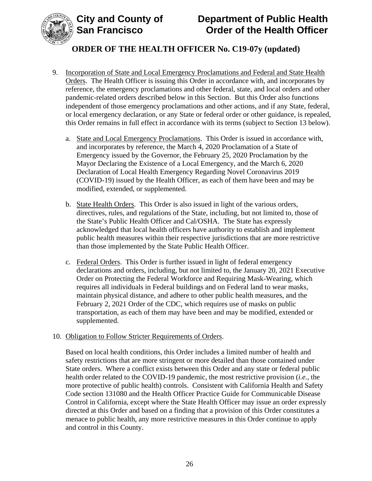

- 9. Incorporation of State and Local Emergency Proclamations and Federal and State Health Orders. The Health Officer is issuing this Order in accordance with, and incorporates by reference, the emergency proclamations and other federal, state, and local orders and other pandemic-related orders described below in this Section. But this Order also functions independent of those emergency proclamations and other actions, and if any State, federal, or local emergency declaration, or any State or federal order or other guidance, is repealed, this Order remains in full effect in accordance with its terms (subject to Section 13 below).
	- a. State and Local Emergency Proclamations. This Order is issued in accordance with, and incorporates by reference, the March 4, 2020 Proclamation of a State of Emergency issued by the Governor, the February 25, 2020 Proclamation by the Mayor Declaring the Existence of a Local Emergency, and the March 6, 2020 Declaration of Local Health Emergency Regarding Novel Coronavirus 2019 (COVID-19) issued by the Health Officer, as each of them have been and may be modified, extended, or supplemented.
	- b. State Health Orders. This Order is also issued in light of the various orders, directives, rules, and regulations of the State, including, but not limited to, those of the State's Public Health Officer and Cal/OSHA. The State has expressly acknowledged that local health officers have authority to establish and implement public health measures within their respective jurisdictions that are more restrictive than those implemented by the State Public Health Officer.
	- c. Federal Orders. This Order is further issued in light of federal emergency declarations and orders, including, but not limited to, the January 20, 2021 Executive Order on Protecting the Federal Workforce and Requiring Mask-Wearing, which requires all individuals in Federal buildings and on Federal land to wear masks, maintain physical distance, and adhere to other public health measures, and the February 2, 2021 Order of the CDC, which requires use of masks on public transportation, as each of them may have been and may be modified, extended or supplemented.

#### 10. Obligation to Follow Stricter Requirements of Orders.

Based on local health conditions, this Order includes a limited number of health and safety restrictions that are more stringent or more detailed than those contained under State orders. Where a conflict exists between this Order and any state or federal public health order related to the COVID-19 pandemic, the most restrictive provision (*i.e.*, the more protective of public health) controls. Consistent with California Health and Safety Code section 131080 and the Health Officer Practice Guide for Communicable Disease Control in California, except where the State Health Officer may issue an order expressly directed at this Order and based on a finding that a provision of this Order constitutes a menace to public health, any more restrictive measures in this Order continue to apply and control in this County.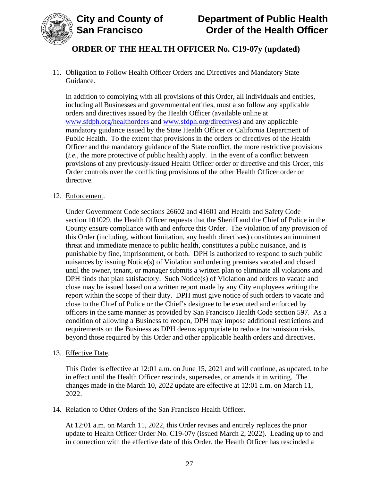

### 11. Obligation to Follow Health Officer Orders and Directives and Mandatory State Guidance.

In addition to complying with all provisions of this Order, all individuals and entities, including all Businesses and governmental entities, must also follow any applicable orders and directives issued by the Health Officer (available online at [www.sfdph.org/healthorders](http://www.sfdph.org/healthorders) and [www.sfdph.org/directives\)](https://www.sfdph.org/directives) and any applicable mandatory guidance issued by the State Health Officer or California Department of Public Health. To the extent that provisions in the orders or directives of the Health Officer and the mandatory guidance of the State conflict, the more restrictive provisions (*i.e.*, the more protective of public health) apply. In the event of a conflict between provisions of any previously-issued Health Officer order or directive and this Order, this Order controls over the conflicting provisions of the other Health Officer order or directive.

#### 12. Enforcement.

Under Government Code sections 26602 and 41601 and Health and Safety Code section 101029, the Health Officer requests that the Sheriff and the Chief of Police in the County ensure compliance with and enforce this Order. The violation of any provision of this Order (including, without limitation, any health directives) constitutes an imminent threat and immediate menace to public health, constitutes a public nuisance, and is punishable by fine, imprisonment, or both. DPH is authorized to respond to such public nuisances by issuing Notice(s) of Violation and ordering premises vacated and closed until the owner, tenant, or manager submits a written plan to eliminate all violations and DPH finds that plan satisfactory. Such Notice(s) of Violation and orders to vacate and close may be issued based on a written report made by any City employees writing the report within the scope of their duty. DPH must give notice of such orders to vacate and close to the Chief of Police or the Chief's designee to be executed and enforced by officers in the same manner as provided by San Francisco Health Code section 597. As a condition of allowing a Business to reopen, DPH may impose additional restrictions and requirements on the Business as DPH deems appropriate to reduce transmission risks, beyond those required by this Order and other applicable health orders and directives.

#### 13. Effective Date.

This Order is effective at 12:01 a.m. on June 15, 2021 and will continue, as updated, to be in effect until the Health Officer rescinds, supersedes, or amends it in writing. The changes made in the March 10, 2022 update are effective at 12:01 a.m. on March 11, 2022.

#### 14. Relation to Other Orders of the San Francisco Health Officer.

At 12:01 a.m. on March 11, 2022, this Order revises and entirely replaces the prior update to Health Officer Order No. C19-07y (issued March 2, 2022). Leading up to and in connection with the effective date of this Order, the Health Officer has rescinded a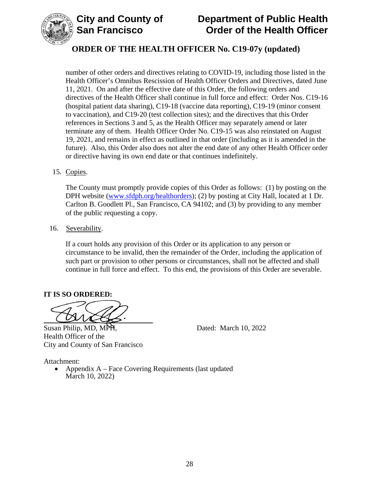

## **ORDER OF THE HEALTH OFFICER No. C19-07y (updated)**

number of other orders and directives relating to COVID-19, including those listed in the Health Officer's Omnibus Rescission of Health Officer Orders and Directives, dated June 11, 2021. On and after the effective date of this Order, the following orders and directives of the Health Officer shall continue in full force and effect: Order Nos. C19-16 (hospital patient data sharing), C19-18 (vaccine data reporting), C19-19 (minor consent to vaccination), and C19-20 (test collection sites); and the directives that this Order references in Sections 3 and 5, as the Health Officer may separately amend or later terminate any of them. Health Officer Order No. C19-15 was also reinstated on August 19, 2021, and remains in effect as outlined in that order (including as it is amended in the future). Also, this Order also does not alter the end date of any other Health Officer order or directive having its own end date or that continues indefinitely.

15. Copies.

The County must promptly provide copies of this Order as follows: (1) by posting on the DPH website (www.sfdph.org/healthorders); (2) by posting at City Hall, located at 1 Dr. Carlton B. Goodlett Pl., San Francisco, CA 94102; and (3) by providing to any member of the public requesting a copy.

16. Severability.

If a court holds any provision of this Order or its application to any person or circumstance to be invalid, then the remainder of the Order, including the application of such part or provision to other persons or circumstances, shall not be affected and shall continue in full force and effect. To this end, the provisions of this Order are severable.

#### **IT IS SO ORDERED:**

Susan Philip, MD, MPH, Dated: March 10, 2022 Health Officer of the City and County of San Francisco

Attachment:

• Appendix A – Face Covering Requirements (last updated March 10, 2022)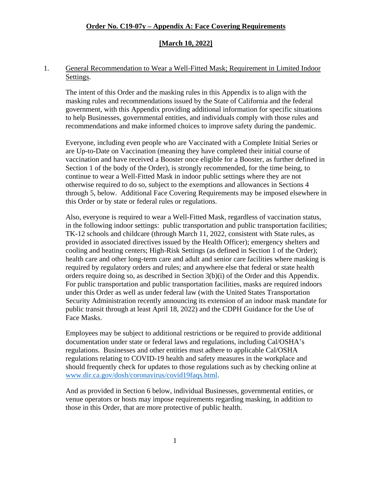#### **[March 10, 2022]**

#### 1. General Recommendation to Wear a Well-Fitted Mask; Requirement in Limited Indoor Settings.

The intent of this Order and the masking rules in this Appendix is to align with the masking rules and recommendations issued by the State of California and the federal government, with this Appendix providing additional information for specific situations to help Businesses, governmental entities, and individuals comply with those rules and recommendations and make informed choices to improve safety during the pandemic.

Everyone, including even people who are Vaccinated with a Complete Initial Series or are Up-to-Date on Vaccination (meaning they have completed their initial course of vaccination and have received a Booster once eligible for a Booster, as further defined in Section 1 of the body of the Order), is strongly recommended, for the time being, to continue to wear a Well-Fitted Mask in indoor public settings where they are not otherwise required to do so, subject to the exemptions and allowances in Sections 4 through 5, below. Additional Face Covering Requirements may be imposed elsewhere in this Order or by state or federal rules or regulations.

Also, everyone is required to wear a Well-Fitted Mask, regardless of vaccination status, in the following indoor settings: public transportation and public transportation facilities; TK-12 schools and childcare (through March 11, 2022, consistent with State rules, as provided in associated directives issued by the Health Officer); emergency shelters and cooling and heating centers; High-Risk Settings (as defined in Section 1 of the Order); health care and other long-term care and adult and senior care facilities where masking is required by regulatory orders and rules; and anywhere else that federal or state health orders require doing so, as described in Section 3(b)(i) of the Order and this Appendix. For public transportation and public transportation facilities, masks are required indoors under this Order as well as under federal law (with the United States Transportation Security Administration recently announcing its extension of an indoor mask mandate for public transit through at least April 18, 2022) and the CDPH Guidance for the Use of Face Masks.

Employees may be subject to additional restrictions or be required to provide additional documentation under state or federal laws and regulations, including Cal/OSHA's regulations. Businesses and other entities must adhere to applicable Cal/OSHA regulations relating to COVID-19 health and safety measures in the workplace and should frequently check for updates to those regulations such as by checking online at [www.dir.ca.gov/dosh/coronavirus/covid19faqs.html.](https://www.dir.ca.gov/dosh/coronavirus/covid19faqs.html)

And as provided in Section 6 below, individual Businesses, governmental entities, or venue operators or hosts may impose requirements regarding masking, in addition to those in this Order, that are more protective of public health.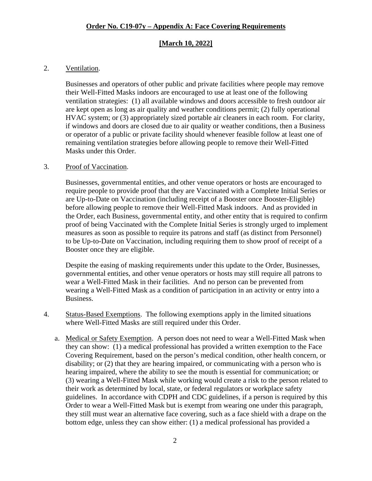#### **[March 10, 2022]**

#### 2. Ventilation.

Businesses and operators of other public and private facilities where people may remove their Well-Fitted Masks indoors are encouraged to use at least one of the following ventilation strategies: (1) all available windows and doors accessible to fresh outdoor air are kept open as long as air quality and weather conditions permit; (2) fully operational HVAC system; or (3) appropriately sized portable air cleaners in each room. For clarity, if windows and doors are closed due to air quality or weather conditions, then a Business or operator of a public or private facility should whenever feasible follow at least one of remaining ventilation strategies before allowing people to remove their Well-Fitted Masks under this Order.

#### 3. Proof of Vaccination.

Businesses, governmental entities, and other venue operators or hosts are encouraged to require people to provide proof that they are Vaccinated with a Complete Initial Series or are Up-to-Date on Vaccination (including receipt of a Booster once Booster-Eligible) before allowing people to remove their Well-Fitted Mask indoors. And as provided in the Order, each Business, governmental entity, and other entity that is required to confirm proof of being Vaccinated with the Complete Initial Series is strongly urged to implement measures as soon as possible to require its patrons and staff (as distinct from Personnel) to be Up-to-Date on Vaccination, including requiring them to show proof of receipt of a Booster once they are eligible.

Despite the easing of masking requirements under this update to the Order, Businesses, governmental entities, and other venue operators or hosts may still require all patrons to wear a Well-Fitted Mask in their facilities. And no person can be prevented from wearing a Well-Fitted Mask as a condition of participation in an activity or entry into a Business.

- 4. Status-Based Exemptions. The following exemptions apply in the limited situations where Well-Fitted Masks are still required under this Order.
	- a. Medical or Safety Exemption. A person does not need to wear a Well-Fitted Mask when they can show: (1) a medical professional has provided a written exemption to the Face Covering Requirement, based on the person's medical condition, other health concern, or disability; or (2) that they are hearing impaired, or communicating with a person who is hearing impaired, where the ability to see the mouth is essential for communication; or (3) wearing a Well-Fitted Mask while working would create a risk to the person related to their work as determined by local, state, or federal regulators or workplace safety guidelines. In accordance with CDPH and CDC guidelines, if a person is required by this Order to wear a Well-Fitted Mask but is exempt from wearing one under this paragraph, they still must wear an alternative face covering, such as a face shield with a drape on the bottom edge, unless they can show either: (1) a medical professional has provided a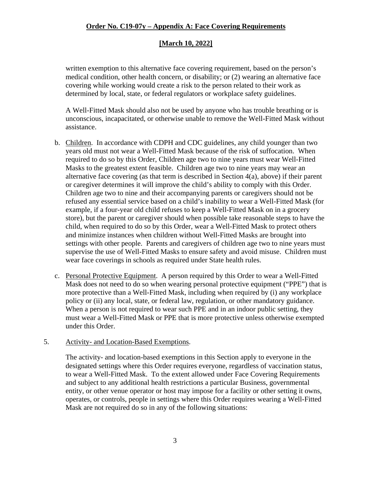#### **[March 10, 2022]**

written exemption to this alternative face covering requirement, based on the person's medical condition, other health concern, or disability; or (2) wearing an alternative face covering while working would create a risk to the person related to their work as determined by local, state, or federal regulators or workplace safety guidelines.

A Well-Fitted Mask should also not be used by anyone who has trouble breathing or is unconscious, incapacitated, or otherwise unable to remove the Well-Fitted Mask without assistance.

- b. Children. In accordance with CDPH and CDC guidelines, any child younger than two years old must not wear a Well-Fitted Mask because of the risk of suffocation. When required to do so by this Order, Children age two to nine years must wear Well-Fitted Masks to the greatest extent feasible. Children age two to nine years may wear an alternative face covering (as that term is described in Section 4(a), above) if their parent or caregiver determines it will improve the child's ability to comply with this Order. Children age two to nine and their accompanying parents or caregivers should not be refused any essential service based on a child's inability to wear a Well-Fitted Mask (for example, if a four-year old child refuses to keep a Well-Fitted Mask on in a grocery store), but the parent or caregiver should when possible take reasonable steps to have the child, when required to do so by this Order, wear a Well-Fitted Mask to protect others and minimize instances when children without Well-Fitted Masks are brought into settings with other people. Parents and caregivers of children age two to nine years must supervise the use of Well-Fitted Masks to ensure safety and avoid misuse. Children must wear face coverings in schools as required under State health rules.
- c. Personal Protective Equipment. A person required by this Order to wear a Well-Fitted Mask does not need to do so when wearing personal protective equipment ("PPE") that is more protective than a Well-Fitted Mask, including when required by (i) any workplace policy or (ii) any local, state, or federal law, regulation, or other mandatory guidance. When a person is not required to wear such PPE and in an indoor public setting, they must wear a Well-Fitted Mask or PPE that is more protective unless otherwise exempted under this Order.

#### 5. Activity- and Location-Based Exemptions.

The activity- and location-based exemptions in this Section apply to everyone in the designated settings where this Order requires everyone, regardless of vaccination status, to wear a Well-Fitted Mask. To the extent allowed under Face Covering Requirements and subject to any additional health restrictions a particular Business, governmental entity, or other venue operator or host may impose for a facility or other setting it owns, operates, or controls, people in settings where this Order requires wearing a Well-Fitted Mask are not required do so in any of the following situations: